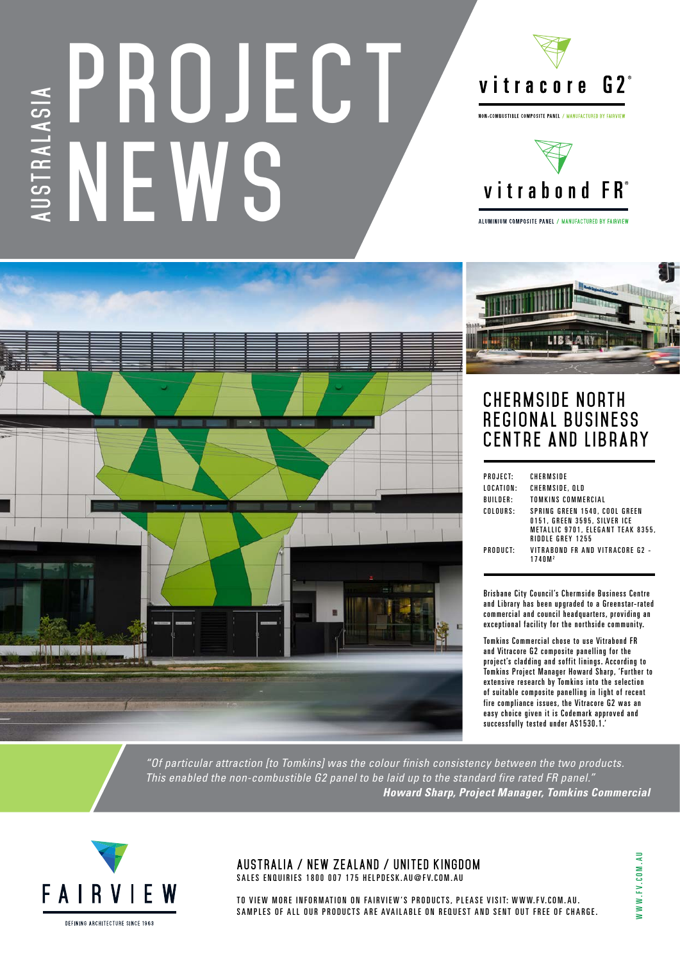## **PROJECT JSTRALASIA AUSTRALASIA NEW**



NON-COMBUSTIBLE COMPOSITE PANEL / MANUFACTURED BY FAIRVIEV



ALUMINIUM COMPOSITE PANEL / MANUFACTURED BY FAIRVIEW



## **CHERMSIDE NORTH** REGIONAL BUSINESS **Centre and Library**

| PROJECT:  | <b>CHERMSIDE</b>                                                                                                       |
|-----------|------------------------------------------------------------------------------------------------------------------------|
| LOCATION: | CHERMSIDE, QLD                                                                                                         |
| BUILDER:  | TOMKINS COMMERCIAL                                                                                                     |
| COLOURS:  | SPRING GREEN 1540, COOL GREEN<br>0151, GREEN 3595, SILVER ICE<br>METALLIC 9701, ELEGANT TEAK 8355,<br>RIDDLE GREY 1255 |
| PRODUCT:  | VITRAROND FR AND VITRACORF G2 -<br>1740M <sup>2</sup>                                                                  |

Brisbane City Council's Chermside Business Centre and Library has been upgraded to a Greenstar-rated commercial and council headquarters, providing an exceptional facility for the northside community.

Tomkins Commercial chose to use Vitrabond FR and Vitracore G2 composite panelling for the project's cladding and soffit linings. According to Tomkins Project Manager Howard Sharp, 'Further to extensive research by Tomkins into the selection of suitable composite panelling in light of recent fire compliance issues, the Vitracore G2 was an easy choice given it is Codemark approved and successfully tested under AS1530.1.

*"Of particular attraction [to Tomkins] was the colour finish consistency between the two products. This enabled the non-combustible G2 panel to be laid up to the standard fire rated FR panel." Howard Sharp, Project Manager, Tomkins Commercial*



**AUSTRALIA / NEW ZEALAND / UNITED KINGDOM** SALES ENQUIRIES 1800 007 175 HELPDESK.AU@FV.COM.AU

TO VIEW MORE INFORMATION ON FAIRVIEW'S PRODUCTS, PLEASE VISIT: WWW.FV.COM.AU. SAMPLES OF ALL OUR PRODUCTS ARE AVAILABLE ON REQUEST AND SENT OUT FREE OF CHARGE. NWW.FV.COM.AU WWW.FV.COM.AU